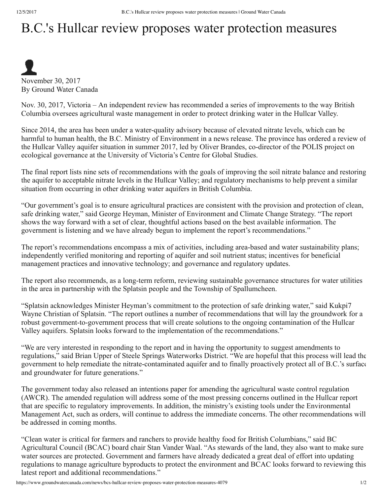## B.C.'s Hullcar review proposes water protection measures



November 30, 2017 By Ground Water Canada

Nov. 30, 2017, Victoria – An independent review has recommended a series of improvements to the way British Columbia oversees agricultural waste management in order to protect drinking water in the Hullcar Valley.

Since 2014, the area has been under a water-quality advisory because of elevated nitrate levels, which can be harmful to human health, the B.C. Ministry of Environment in a news release. The province has ordered a review of the Hullcar Valley aquifer situation in summer 2017, led by Oliver Brandes, co-director of the POLIS project on ecological governance at the University of Victoria's Centre for Global Studies.

The final report lists nine sets of recommendations with the goals of improving the soil nitrate balance and restoring the aquifer to acceptable nitrate levels in the Hullcar Valley; and regulatory mechanisms to help prevent a similar situation from occurring in other drinking water aquifers in British Columbia.

"Our government's goal is to ensure agricultural practices are consistent with the provision and protection of clean, safe drinking water," said George Heyman, Minister of Environment and Climate Change Strategy. "The report shows the way forward with a set of clear, thoughtful actions based on the best available information. The government is listening and we have already begun to implement the report's recommendations."

The report's recommendations encompass a mix of activities, including area-based and water sustainability plans; independently verified monitoring and reporting of aquifer and soil nutrient status; incentives for beneficial management practices and innovative technology; and governance and regulatory updates.

The report also recommends, as a long-term reform, reviewing sustainable governance structures for water utilities in the area in partnership with the Splatsin people and the Township of Spallumcheen.

"Splatsin acknowledges Minister Heyman's commitment to the protection of safe drinking water," said Kukpi7 Wayne Christian of Splatsin. "The report outlines a number of recommendations that will lay the groundwork for a robust government-to-government process that will create solutions to the ongoing contamination of the Hullcar Valley aquifers. Splatsin looks forward to the implementation of the recommendations."

"We are very interested in responding to the report and in having the opportunity to suggest amendments to regulations," said Brian Upper of Steele Springs Waterworks District. "We are hopeful that this process will lead the government to help remediate the nitrate-contaminated aquifer and to finally proactively protect all of B.C.'s surface and groundwater for future generations."

The government today also released an intentions paper for amending the agricultural waste control regulation (AWCR). The amended regulation will address some of the most pressing concerns outlined in the Hullcar report that are specific to regulatory improvements. In addition, the ministry's existing tools under the Environmental Management Act, such as orders, will continue to address the immediate concerns. The other recommendations will be addressed in coming months.

"Clean water is critical for farmers and ranchers to provide healthy food for British Columbians," said BC Agricultural Council (BCAC) board chair Stan Vander Waal. "As stewards of the land, they also want to make sure water sources are protected. Government and farmers have already dedicated a great deal of effort into updating regulations to manage agriculture byproducts to protect the environment and BCAC looks forward to reviewing this latest report and additional recommendations."